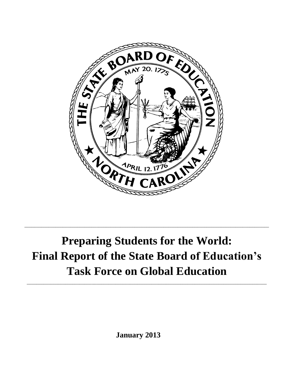

# **Preparing Students for the World: Final Report of the State Board of Education's Task Force on Global Education**

\_\_\_\_\_\_\_\_\_\_\_\_\_\_\_\_\_\_\_\_\_\_\_\_\_\_\_\_\_\_\_\_\_\_\_\_\_\_\_\_\_\_\_\_\_\_\_\_\_\_\_\_\_\_\_\_\_\_\_\_\_\_\_\_\_\_\_\_\_\_\_\_\_\_\_\_\_\_\_\_\_\_\_\_\_\_\_\_\_\_\_\_\_\_\_\_\_\_\_\_

\_\_\_\_\_\_\_\_\_\_\_\_\_\_\_\_\_\_\_\_\_\_\_\_\_\_\_\_\_\_\_\_\_\_\_\_\_\_\_\_\_\_\_\_\_\_\_\_\_\_\_\_\_\_\_\_\_\_\_\_\_\_\_\_\_\_\_\_\_\_\_\_\_\_\_\_\_\_\_\_\_\_\_\_\_\_\_\_\_\_\_\_\_\_\_\_\_\_\_\_\_\_

**January 2013**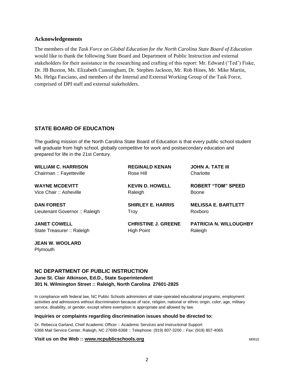#### **Acknowledgements**

The members of the *Task Force on Global Education for the North Carolina State Board of Education* would like to thank the following State Board and Department of Public Instruction and external stakeholders for their assistance in the researching and crafting of this report: Mr. Edward ('Ted') Fiske, Dr. JB Buxton, Ms. Elizabeth Cunningham, Dr. Stephen Jackson, Mr. Rob Hines, Mr. Mike Martin, Ms. Helga Fasciano, and members of the Internal and External Working Group of the Task Force, comprised of DPI staff and external stakeholders.

# **STATE BOARD OF EDUCATION**

The guiding mission of the North Carolina State Board of Education is that every public school student will graduate from high school, globally competitive for work and postsecondary education and prepared for life in the 21st Century.

| <b>WILLIAM C. HARRISON</b>     | <b>REGINALD KENAN</b>      | <b>JOHN A. TATE III</b>       |
|--------------------------------|----------------------------|-------------------------------|
| Chairman: Fayetteville         | Rose Hill                  | Charlotte                     |
| <b>WAYNE MCDEVITT</b>          | <b>KEVIN D. HOWELL</b>     | <b>ROBERT "TOM" SPEED</b>     |
| Vice Chair: Asheville          | Raleigh                    | Boone                         |
| <b>DAN FOREST</b>              | <b>SHIRLEY E. HARRIS</b>   | <b>MELISSA E. BARTLETT</b>    |
| Lieutenant Governor :: Raleigh | Troy                       | Roxboro                       |
| <b>JANET COWELL</b>            | <b>CHRISTINE J. GREENE</b> | <b>PATRICIA N. WILLOUGHBY</b> |
| State Treasurer :: Raleigh     | High Point                 | Raleigh                       |

**JEAN W. WOOLARD** Plymouth

#### **NC DEPARTMENT OF PUBLIC INSTRUCTION**

**June St. Clair Atkinson, Ed.D., State Superintendent 301 N. Wilmington Street :: Raleigh, North Carolina 27601-2825** 

In compliance with federal law, NC Public Schools administers all state-operated educational programs, employment activities and admissions without discrimination because of race, religion, national or ethnic origin, color, age, military service, disability, or gender, except where exemption is appropriate and allowed by law.

#### **Inquiries or complaints regarding discrimination issues should be directed to:**

Dr. Rebecca Garland, Chief Academic Officer :: Academic Services and Instructional Support 6368 Mail Service Center, Raleigh, NC 27699-6368 :: Telephone: (919) 807-3200 :: Fax: (919) 807-4065

#### **Visit us on the Web :: [www.ncpublicschools.org](http://www.ncpublicschools.org/) M0910 M0910 M0910 M0910**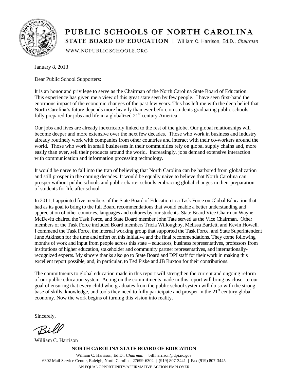

# PUBLIC SCHOOLS OF NORTH CAROLINA STATE BOARD OF EDUCATION | William C. Harrison, Ed.D., Chairman

WWW.NCPUBLICSCHOOLS.ORG

January 8, 2013

Dear Public School Supporters:

It is an honor and privilege to serve as the Chairman of the North Carolina State Board of Education. This experience has given me a view of this great state seen by few people. I have seen first-hand the enormous impact of the economic changes of the past few years. This has left me with the deep belief that North Carolina's future depends more heavily than ever before on students graduating public schools fully prepared for jobs and life in a globalized  $21<sup>st</sup>$  century America.

Our jobs and lives are already inextricably linked to the rest of the globe. Our global relationships will become deeper and more extensive over the next few decades. Those who work in business and industry already routinely work with companies from other countries and interact with their co-workers around the world. Those who work in small businesses in their communities rely on global supply chains and, more easily than ever, sell their products around the world. Increasingly, jobs demand extensive interaction with communication and information processing technology.

It would be naïve to fall into the trap of believing that North Carolina can be harbored from globalization and still prosper in the coming decades. It would be equally naive to believe that North Carolina can prosper without public schools and public charter schools embracing global changes in their preparation of students for life after school.

In 2011, I appointed five members of the State Board of Education to a Task Force on Global Education that had as its goal to bring to the full Board recommendations that would enable a better understanding and appreciation of other countries, languages and cultures by our students. State Board Vice Chairman Wayne McDevitt chaired the Task Force, and State Board member John Tate served as the Vice Chairman. Other members of the Task Force included Board members Tricia Willoughby, Melissa Bartlett, and Kevin Howell. I commend the Task Force, the internal working group that supported the Task Force, and State Superintendent June Atkinson for the time and effort on this initiative and the final recommendations. They come following months of work and input from people across this state – educators, business representatives, professors from institutions of higher education, stakeholder and community partner representatives, and internationallyrecognized experts. My sincere thanks also go to State Board and DPI staff for their work in making this excellent report possible, and, in particular, to Ted Fiske and JB Buxton for their contributions.

The commitments to global education made in this report will strengthen the current and ongoing reform of our public education system. Acting on the commitments made in this report will bring us closer to our goal of ensuring that every child who graduates from the public school system will do so with the strong base of skills, knowledge, and tools they need to fully participate and prosper in the 21<sup>st</sup> century global economy. Now the work begins of turning this vision into reality.

Sincerely,

Bil

William C. Harrison

**NORTH CAROLINA STATE BOARD OF EDUCATION**

William C. Harrison, Ed.D., *Chairman* | bill.harrison@dpi.nc.gov 6302 Mail Service Center, Raleigh, North Carolina 27699-6302 | (919) 807-3441 | Fax (919) 807-3445 AN EQUAL OPPORTUNITY/AFFIRMATIVE ACTION EMPLOYER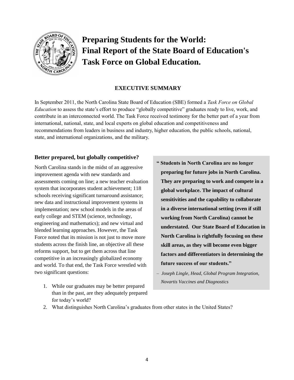

# **Preparing Students for the World: Final Report of the State Board of Education's Task Force on Global Education.**

# **EXECUTIVE SUMMARY**

In September 2011, the North Carolina State Board of Education (SBE) formed a *Task Force on Global Education* to assess the state's effort to produce "globally competitive" graduates ready to live, work, and contribute in an interconnected world. The Task Force received testimony for the better part of a year from international, national, state, and local experts on global education and competitiveness and recommendations from leaders in business and industry, higher education, the public schools, national, state, and international organizations, and the military.

#### **Better prepared, but globally competitive?**

North Carolina stands in the midst of an aggressive improvement agenda with new standards and assessments coming on line; a new teacher evaluation system that incorporates student achievement; 118 schools receiving significant turnaround assistance; new data and instructional improvement systems in implementation; new school models in the areas of early college and STEM (science, technology, engineering and mathematics); and new virtual and blended learning approaches. However, the Task Force noted that its mission is not just to move more students across the finish line, an objective all these reforms support, but to get them across that line competitive in an increasingly globalized economy and world. To that end, the Task Force wrestled with two significant questions:

- 1. While our graduates may be better prepared than in the past, are they adequately prepared for today's world?
- **" Students in North Carolina are no longer preparing for future jobs in North Carolina. They are preparing to work and compete in a global workplace. The impact of cultural sensitivities and the capability to collaborate in a diverse international setting (even if still working from North Carolina) cannot be understated. Our State Board of Education in North Carolina is rightfully focusing on these skill areas, as they will become even bigger factors and differentiators in determining the future success of our students."**
- *Joseph Lingle, Head, Global Program Integration, Novartis Vaccines and Diagnostics*
- 2. What distinguishes North Carolina's graduates from other states in the United States?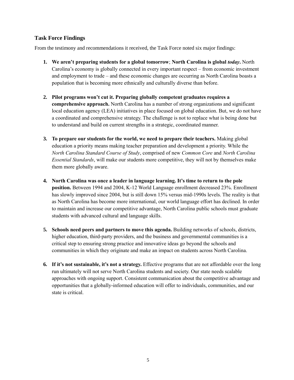# **Task Force Findings**

From the testimony and recommendations it received, the Task Force noted six major findings:

- **1. We aren't preparing students for a global tomorrow**; **North Carolina is global** *today***.** North Carolina's economy is globally connected in every important respect – from economic investment and employment to trade – and these economic changes are occurring as North Carolina boasts a population that is becoming more ethnically and culturally diverse than before.
- **2. Pilot programs won't cut it. Preparing globally competent graduates requires a comprehensive approach.** North Carolina has a number of strong organizations and significant local education agency (LEA) initiatives in place focused on global education. But, we do not have a coordinated and comprehensive strategy. The challenge is not to replace what is being done but to understand and build on current strengths in a strategic, coordinated manner.
- **3. To prepare our students for the world, we need to prepare their teachers.** Making global education a priority means making teacher preparation and development a priority. While the *North Carolina Standard Course of Study*, comprised of new *Common Core* and *North Carolina Essential Standards*, will make our students more competitive, they will not by themselves make them more globally aware.
- **4. North Carolina was once a leader in language learning. It's time to return to the pole position.** Between 1994 and 2004, K-12 World Language enrollment decreased 23%. Enrollment has slowly improved since 2004, but is still down 15% versus mid-1990s levels. The reality is that as North Carolina has become more international, our world language effort has declined. In order to maintain and increase our competitive advantage, North Carolina public schools must graduate students with advanced cultural and language skills.
- **5. Schools need peers and partners to move this agenda.** Building networks of schools, districts, higher education, third-party providers, and the business and governmental communities is a critical step to ensuring strong practice and innovative ideas go beyond the schools and communities in which they originate and make an impact on students across North Carolina.
- **6. If it's not sustainable, it's not a strategy.** Effective programs that are not affordable over the long run ultimately will not serve North Carolina students and society. Our state needs scalable approaches with ongoing support. Consistent communication about the competitive advantage and opportunities that a globally-informed education will offer to individuals, communities, and our state is critical.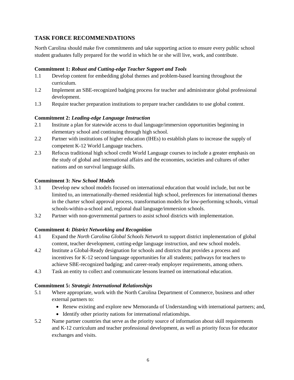# **TASK FORCE RECOMMENDATIONS**

North Carolina should make five commitments and take supporting action to ensure every public school student graduates fully prepared for the world in which he or she will live, work, and contribute.

# **Commitment 1:** *Robust and Cutting-edge Teacher Support and Tools*

- 1.1 Develop content for embedding global themes and problem-based learning throughout the curriculum.
- 1.2 Implement an SBE-recognized badging process for teacher and administrator global professional development.
- 1.3 Require teacher preparation institutions to prepare teacher candidates to use global content.

# **Commitment 2:** *Leading-edge Language Instruction*

- 2.1 Institute a plan for statewide access to dual language/immersion opportunities beginning in elementary school and continuing through high school.
- 2.2 Partner with institutions of higher education (IHEs) to establish plans to increase the supply of competent K-12 World Language teachers.
- 2.3 Refocus traditional high school credit World Language courses to include a greater emphasis on the study of global and international affairs and the economies, societies and cultures of other nations and on survival language skills.

# **Commitment 3:** *New School Models*

- 3.1 Develop new school models focused on international education that would include, but not be limited to, an internationally-themed residential high school, preferences for international themes in the charter school approval process, transformation models for low-performing schools, virtual schools-within-a-school and, regional dual language/immersion schools.
- 3.2 Partner with non-governmental partners to assist school districts with implementation.

#### **Commitment 4:** *District Networking and Recognition*

- 4.1 Expand the *North Carolina Global Schools Network* to support district implementation of global content, teacher development, cutting-edge language instruction, and new school models.
- 4.2 Institute a Global-Ready designation for schools and districts that provides a process and incentives for K-12 second language opportunities for all students; pathways for teachers to achieve SBE-recognized badging; and career-ready employer requirements, among others.
- 4.3 Task an entity to collect and communicate lessons learned on international education.

#### **Commitment 5:** *Strategic International Relationships*

- 5.1 Where appropriate, work with the North Carolina Department of Commerce, business and other external partners to:
	- Renew existing and explore new Memoranda of Understanding with international partners; and,
	- Identify other priority nations for international relationships.
- 5.2 Name partner countries that serve as the priority source of information about skill requirements and K-12 curriculum and teacher professional development, as well as priority focus for educator exchanges and visits.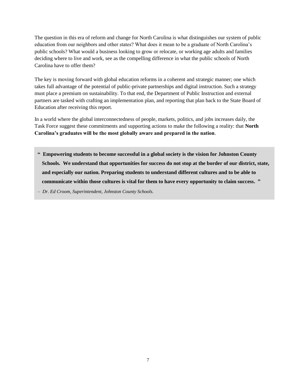The question in this era of reform and change for North Carolina is what distinguishes our system of public education from our neighbors and other states? What does it mean to be a graduate of North Carolina's public schools? What would a business looking to grow or relocate, or working age adults and families deciding where to live and work, see as the compelling difference in what the public schools of North Carolina have to offer them?

The key is moving forward with global education reforms in a coherent and strategic manner; one which takes full advantage of the potential of public-private partnerships and digital instruction. Such a strategy must place a premium on sustainability. To that end, the Department of Public Instruction and external partners are tasked with crafting an implementation plan, and reporting that plan back to the State Board of Education after receiving this report.

In a world where the global interconnectedness of people, markets, politics, and jobs increases daily, the Task Force suggest these commitments and supporting actions to make the following a reality: that **North Carolina's graduates will be the most globally aware and prepared in the nation**.

**" Empowering students to become successful in a global society is the vision for Johnston County Schools. We understand that opportunities for success do not stop at the border of our district, state, and especially our nation. Preparing students to understand different cultures and to be able to communicate within those cultures is vital for them to have every opportunity to claim success. "** 

*– Dr. Ed Croom, Superintendent, Johnston County Schools.*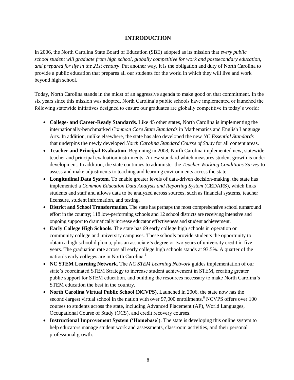# **INTRODUCTION**

In 2006, the North Carolina State Board of Education (SBE) adopted as its mission that *every public school student will graduate from high school, globally competitive for work and postsecondary education, and prepared for life in the 21st century*. Put another way, it is the obligation and duty of North Carolina to provide a public education that prepares all our students for the world in which they will live and work beyond high school.

Today, North Carolina stands in the midst of an aggressive agenda to make good on that commitment. In the six years since this mission was adopted, North Carolina's public schools have implemented or launched the following statewide initiatives designed to ensure our graduates are globally competitive in today's world:

- **College- and Career-Ready Standards.** Like 45 other states, North Carolina is implementing the internationally-benchmarked *Common Core State Standards* in Mathematics and English Language Arts. In addition, unlike elsewhere, the state has also developed the new *NC Essential Standards* that underpins the newly developed *North Carolina Standard Course of Study* for all content areas.
- **Teacher and Principal Evaluation**. Beginning in 2008, North Carolina implemented new, statewide teacher and principal evaluation instruments. A new standard which measures student growth is under development. In addition, the state continues to administer the *Teacher Working Conditions Survey* to assess and make adjustments to teaching and learning environments across the state.
- **Longitudinal Data System**. To enable greater levels of data-driven decision-making, the state has implemented a *Common Education Data Analysis and Reporting System* (CEDARS), which links students and staff and allows data to be analyzed across sources, such as financial systems, teacher licensure, student information, and testing.
- **District and School Transformation**. The state has perhaps the most comprehensive school turnaround effort in the country; 118 low-performing schools and 12 school districts are receiving intensive and ongoing support to dramatically increase educator effectiveness and student achievement.
- **Early College High Schools.** The state has 69 early college high schools in operation on community college and university campuses. These schools provide students the opportunity to obtain a high school diploma, plus an associate's degree or two years of university credit in five years. The graduation rate across all early college high schools stands at 93.5%. A quarter of the nation's early colleges are in North Carolina.<sup>i</sup>
- **NC STEM Learning Network.** The *NC STEM Learning Network* guides implementation of our state's coordinated STEM Strategy to increase student achievement in STEM, creating greater public support for STEM education, and building the resources necessary to make North Carolina's STEM education the best in the country.
- **North Carolina Virtual Public School (NCVPS)**. Launched in 2006, the state now has the second-largest virtual school in the nation with over 97,000 enrollments.<sup>ii</sup> NCVPS offers over 100 courses to students across the state, including Advanced Placement (AP), World Languages, Occupational Course of Study (OCS), and credit recovery courses.
- **Instructional Improvement System ('Homebase')**. The state is developing this online system to help educators manage student work and assessments, classroom activities, and their personal professional growth.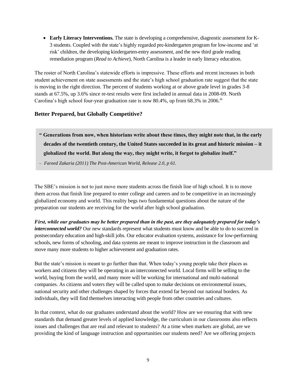**Early Literacy Interventions.** The state is developing a comprehensive, diagnostic assessment for K-3 students. Coupled with the state's highly regarded pre-kindergarten program for low-income and 'at risk' children, the developing kindergarten-entry assessment, and the new third grade reading remediation program (*Read to Achieve*), North Carolina is a leader in early literacy education.

The roster of North Carolina's statewide efforts is impressive. These efforts and recent increases in both student achievement on state assessments and the state's high school graduation rate suggest that the state is moving in the right direction. The percent of students working at or above grade level in grades 3-8 stands at 67.5%, up 3.6% since re-test results were first included in annual data in 2008-09. North Carolina's high school four-year graduation rate is now  $80.4\%$ , up from  $68.3\%$  in  $2006$ .<sup>iii</sup>

#### **Better Prepared, but Globally Competitive?**

- **" Generations from now, when historians write about these times, they might note that, in the early decades of the twentieth century, the United States succeeded in its great and historic mission – it globalized the world. But along the way, they might write, it forgot to globalize itself."**
- *Fareed Zakaria (2011) The Post-American World, Release 2.0, p 61.*

The SBE's mission is not to just move more students across the finish line of high school. It is to move them across that finish line prepared to enter college and careers and to be competitive in an increasingly globalized economy and world. This reality begs two fundamental questions about the nature of the preparation our students are receiving for the world after high school graduation.

*First, while our graduates may be better prepared than in the past, are they adequately prepared for today's interconnected world?* Our new standards represent what students must know and be able to do to succeed in postsecondary education and high-skill jobs. Our educator evaluation systems, assistance for low-performing schools, new forms of schooling, and data systems are meant to improve instruction in the classroom and move many more students to higher achievement and graduation rates.

But the state's mission is meant to go further than that. When today's young people take their places as workers and citizens they will be operating in an interconnected world. Local firms will be selling to the world, buying from the world, and many more will be working for international and multi-national companies. As citizens and voters they will be called upon to make decisions on environmental issues, national security and other challenges shaped by forces that extend far beyond our national borders. As individuals, they will find themselves interacting with people from other countries and cultures.

In that context, what do our graduates understand about the world? How are we ensuring that with new standards that demand greater levels of applied knowledge, the curriculum in our classrooms also reflects issues and challenges that are real and relevant to students? At a time when markets are global, are we providing the kind of language instruction and opportunities our students need? Are we offering projects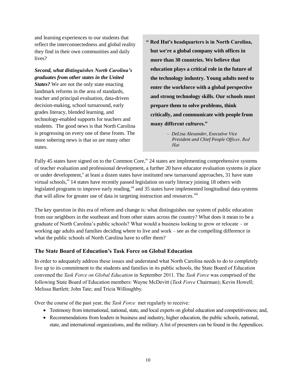and learning experiences to our students that reflect the interconnectedness and global reality they find in their own communities and daily lives?

*Second, what distinguishes North Carolina's graduates from other states in the United States?* We are not the only state enacting landmark reforms in the area of standards, teacher and principal evaluation, data-driven decision-making, school turnaround, early grades literacy, blended learning, and technology-enabled supports for teachers and students. The good news is that North Carolina is progressing on every one of these fronts. The more sobering news is that so are many other states.

**" Red Hat's headquarters is in North Carolina, but we're a global company with offices in more than 30 countries. We believe that education plays a critical role in the future of the technology industry. Young adults need to enter the workforce with a global perspective and strong technology skills. Our schools must prepare them to solve problems, think critically, and communicate with people from many different cultures."** 

Fully 45 states have signed on to the Common Core,<sup>iv</sup> 24 states are implementing comprehensive systems of teacher evaluation and professional development, a further 20 have educator evaluation systems in place or under development,<sup>v</sup> at least a dozen states have instituted new turnaround approaches, 31 have state virtual schools,<sup>vi</sup> 14 states have recently passed legislation on early literacy joining 18 others with legislated programs to improve early reading,  $\theta$ <sup>ii</sup> and 35 states have implemented longitudinal data systems that will allow for greater use of data in targeting instruction and resources.<sup>viii</sup>

The key question in this era of reform and change is: what distinguishes our system of public education from our neighbors in the southeast and from other states across the country? What does it mean to be a graduate of North Carolina's public schools? What would a business looking to grow or relocate – or working age adults and families deciding where to live and work – see as the compelling difference in what the public schools of North Carolina have to offer them?

# **The State Board of Education's Task Force on Global Education**

In order to adequately address these issues and understand what North Carolina needs to do to completely live up to its commitment to the students and families in its public schools, the State Board of Education convened the *Task Force on Global Education* in September 2011. The *Task Force* was comprised of the following State Board of Education members: Wayne McDevitt (*Task Force* Chairman); Kevin Howell; Melissa Bartlett; John Tate; and Tricia Willoughby.

Over the course of the past year, the *Task Force* met regularly to receive:

- Testimony from international, national, state, and local experts on global education and competitiveness; and,
- Recommendations from leaders in business and industry, higher education, the public schools, national, state, and international organizations, and the military. A list of presenters can be found in the Appendices.

*<sup>–</sup> DeLisa Alexander, Executive Vice*  **President and Chief People Officer, Red** *Hat*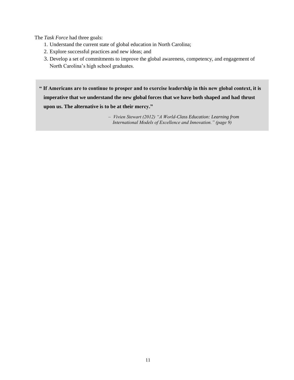The *Task Force* had three goals:

- 1. Understand the current state of global education in North Carolina;
- 2. Explore successful practices and new ideas; and
- 3. Develop a set of commitments to improve the global awareness, competency, and engagement of North Carolina's high school graduates.

**" If Americans are to continue to prosper and to exercise leadership in this new global context, it is imperative that we understand the new global forces that we have both shaped and had thrust upon us. The alternative is to be at their mercy."**

> *– Vivien Stewart (2012) "A World-Class Education: Learning from International Models of Excellence and Innovation." (page 9)*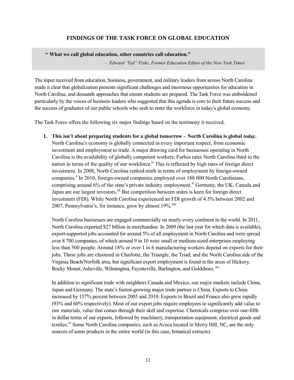# **FINDINGS OF THE TASK FORCE ON GLOBAL EDUCATION**

 **" What we call global education, other countries call education."**

– *Edward 'Ted" Fiske Former Education Editor of the New York Times*

The input received from education, business, government, and military leaders from across North Carolina made it clear that globalization presents significant challenges and enormous opportunities for education in North Carolina, and demands approaches that ensure students are prepared. The Task Force was emboldened particularly by the voices of business leaders who suggested that this agenda is core to their future success and the success of graduates of our public schools who seek to enter the workforce in today's global economy.

The Task Force offers the following six major findings based on the testimony it received.

**1. This isn't about preparing students for a global tomorrow – North Carolina is global** *today***.** North Carolina's economy is globally connected in every important respect, from economic investment and employment to trade. A major drawing card for businesses operating in North Carolina is the availability of globally competent workers. Forbes rates North Carolina third in the nation in terms of the quality of our workforce.<sup>ix</sup> This is reflected by high rates of foreign direct investment. In 2008, North Carolina ranked ninth in terms of employment by foreign-owned companies.<sup>x</sup> In 2010, foreign-owned companies employed over 188 000 North Carolinians, comprising around  $6\%$  of the state's private industry employment.<sup>xi</sup> Germany, the UK, Canada and Japan are our largest investors.<sup>xii</sup> But competition between states is keen for foreign direct investment (FDI). While North Carolina experienced an FDI growth of 4.5% between 2002 and 2007, Pennsylvania's, for instance, grew by almost  $19\%$ .  $\frac{\text{x}}{\text{iii}}$ 

North Carolina businesses are engaged commercially on nearly every continent in the world. In 2011, North Carolina exported \$27 billion in merchandise. In 2009 (the last year for which data is available), export-supported jobs accounted for around 5% of all employment in North Carolina and were spread over 8 700 companies, of which around 9 in 10 were small or medium-sized enterprises employing less than 500 people. Around 18% or over 1 in 6 manufacturing workers depend on exports for their jobs. These jobs are clustered in Charlotte, the Triangle, the Triad, and the North Carolina side of the Virginia Beach/Norfolk area, but significant export employment is found in the areas of Hickory, Rocky Mount, Asheville, Wilmington, Fayetteville, Burlington, and Goldsboro. <sup>xiv</sup>

In addition to significant trade with neighbors Canada and Mexico, our major markets include China, Japan and Germany. The state's fastest-growing major trade partner is China. Exports to China increased by 157% percent between 2005 and 2010. Exports to Brazil and France also grew rapidly (93% and 60% respectively). Most of our export jobs require employees to significantly add value to raw materials, value that comes through their skill and expertise. Chemicals comprise over one-fifth in dollar terms of our exports, followed by machinery, transportation equipment, electrical goods and textiles.<sup>xv</sup> Some North Carolina companies, such as Avoca located in Merry Hill, NC, are the only sources of some products in the entire world (in this case, botanical extracts).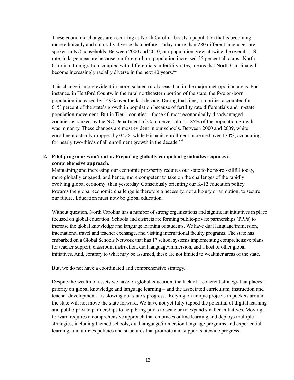These economic changes are occurring as North Carolina boasts a population that is becoming more ethnically and culturally diverse than before. Today, more than 280 different languages are spoken in NC households. Between 2000 and 2010, our population grew at twice the overall U.S. rate, in large measure because our foreign-born population increased 55 percent all across North Carolina. Immigration, coupled with differentials in fertility rates, means that North Carolina will become increasingly racially diverse in the next 40 years. $x<sup>vi</sup>$ 

This change is more evident in more isolated rural areas than in the major metropolitan areas. For instance, in Hertford County, in the rural northeastern portion of the state, the foreign-born population increased by 149% over the last decade. During that time, minorities accounted for 61% percent of the state's growth in population because of fertility rate differentials and in-state population movement. But in Tier 1 counties – those 40 most economically-disadvantaged counties as ranked by the NC Department of Commerce - almost 85% of the population growth was minority. These changes are most evident in our schools. Between 2000 and 2009, white enrollment actually dropped by 0.2%, while Hispanic enrollment increased over 170%, accounting for nearly two-thirds of all enrollment growth in the decade.<sup>xvii</sup>

# **2. Pilot programs won't cut it. Preparing globally competent graduates requires a comprehensive approach.**

Maintaining and increasing our economic prosperity requires our state to be more skillful today, more globally engaged, and hence, more competent to take on the challenges of the rapidly evolving global economy, than yesterday. Consciously orienting our K-12 education policy towards the global economic challenge is therefore a necessity, not a luxury or an option, to secure our future. Education must now be global education.

Without question, North Carolina has a number of strong organizations and significant initiatives in place focused on global education. Schools and districts are forming public-private partnerships (PPPs) to increase the global knowledge and language learning of students. We have dual language/immersion, international travel and teacher exchange, and visiting international faculty programs. The state has embarked on a Global Schools Network that has 17 school systems implementing comprehensive plans for teacher support, classroom instruction, dual language/immersion, and a host of other global initiatives. And, contrary to what may be assumed, these are not limited to wealthier areas of the state.

But, we do not have a coordinated and comprehensive strategy.

Despite the wealth of assets we have on global education, the lack of a coherent strategy that places a priority on global knowledge and language learning – and the associated curriculum, instruction and teacher development – is slowing our state's progress. Relying on unique projects in pockets around the state will not move the state forward. We have not yet fully tapped the potential of digital learning and public-private partnerships to help bring pilots to scale or to expand smaller initiatives. Moving forward requires a comprehensive approach that embraces online learning and deploys multiple strategies, including themed schools, dual language/immersion language programs and experiential learning, and utilizes policies and structures that promote and support statewide progress.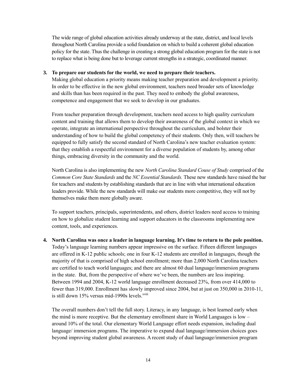The wide range of global education activities already underway at the state, district, and local levels throughout North Carolina provide a solid foundation on which to build a coherent global education policy for the state. Thus the challenge in creating a strong global education program for the state is not to replace what is being done but to leverage current strengths in a strategic, coordinated manner.

#### **3. To prepare our students for the world, we need to prepare their teachers.**

Making global education a priority means making teacher preparation and development a priority. In order to be effective in the new global environment, teachers need broader sets of knowledge and skills than has been required in the past. They need to embody the global awareness, competence and engagement that we seek to develop in our graduates.

From teacher preparation through development, teachers need access to high quality curriculum content and training that allows them to develop their awareness of the global context in which we operate, integrate an international perspective throughout the curriculum, and bolster their understanding of how to build the global competency of their students. Only then, will teachers be equipped to fully satisfy the second standard of North Carolina's new teacher evaluation system: that they establish a respectful environment for a diverse population of students by, among other things, embracing diversity in the community and the world.

North Carolina is also implementing the new *North Carolina Standard Couse of Study* comprised of the *Common Core State Standards* and the *NC Essential Standards.* These new standards have raised the bar for teachers and students by establishing standards that are in line with what international education leaders provide. While the new standards will make our students more competitive, they will not by themselves make them more globally aware.

To support teachers, principals, superintendents, and others, district leaders need access to training on how to globalize student learning and support educators in the classrooms implementing new content, tools, and experiences.

**4. North Carolina was once a leader in language learning. It's time to return to the pole position.**  Today's language learning numbers appear impressive on the surface. Fifteen different languages are offered in K-12 public schools; one in four K-12 students are enrolled in languages, though the majority of that is comprised of high school enrollment; more than 2,000 North Carolina teachers are certified to teach world languages; and there are almost 60 dual language/immersion programs in the state. But, from the perspective of where we've been, the numbers are less inspiring. Between 1994 and 2004, K-12 world language enrollment decreased 23%, from over 414,000 to fewer than 319,000. Enrollment has slowly improved since 2004, but at just on 350,000 in 2010-11, is still down 15% versus mid-1990s levels.<sup>xviii</sup>

The overall numbers don't tell the full story. Literacy, in any language, is best learned early when the mind is more receptive. But the elementary enrollment share in World Languages is low – around 10% of the total. Our elementary World Language effort needs expansion, including dual language/ immersion programs. The imperative to expand dual language/immersion choices goes beyond improving student global awareness. A recent study of dual language/immersion program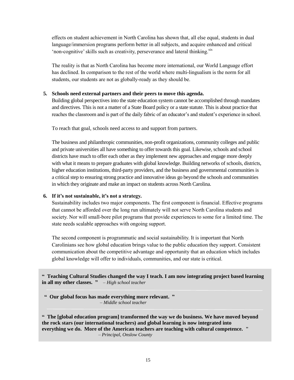effects on student achievement in North Carolina has shown that, all else equal, students in dual language/immersion programs perform better in all subjects, and acquire enhanced and critical 'non-cognitive' skills such as creativity, perseverance and lateral thinking.<sup>xix</sup>

The reality is that as North Carolina has become more international, our World Language effort has declined. In comparison to the rest of the world where multi-lingualism is the norm for all students, our students are not as globally-ready as they should be.

#### **5. Schools need external partners and their peers to move this agenda.**

Building global perspectives into the state education system cannot be accomplished through mandates and directives. This is not a matter of a State Board policy or a state statute. This is about practice that reaches the classroom and is part of the daily fabric of an educator's and student's experience in school.

To reach that goal, schools need access to and support from partners.

The business and philanthropic communities, non-profit organizations, community colleges and public and private universities all have something to offer towards this goal. Likewise, schools and school districts have much to offer each other as they implement new approaches and engage more deeply with what it means to prepare graduates with global knowledge. Building networks of schools, districts, higher education institutions, third-party providers, and the business and governmental communities is a critical step to ensuring strong practice and innovative ideas go beyond the schools and communities in which they originate and make an impact on students across North Carolina.

#### **6. If it's not sustainable, it's not a strategy.**

Sustainability includes two major components. The first component is financial. Effective programs that cannot be afforded over the long run ultimately will not serve North Carolina students and society. Nor will small-bore pilot programs that provide experiences to some for a limited time. The state needs scalable approaches with ongoing support.

The second component is programmatic and social sustainability. It is important that North Carolinians see how global education brings value to the public education they support. Consistent communication about the competitive advantage and opportunity that an education which includes global knowledge will offer to individuals, communities, and our state is critical.

**" Teaching Cultural Studies changed the way I teach. I am now integrating project based learning in all my other classes. "** *– High school teacher*

**" Our global focus has made everything more relevant. "** *– Middle school teacher*

**" The [global education program] transformed the way we do business. We have moved beyond the rock stars (our international teachers) and global learning is now integrated into everything we do. More of the American teachers are teaching with cultural competence. "**  *– Principal, Onslow County*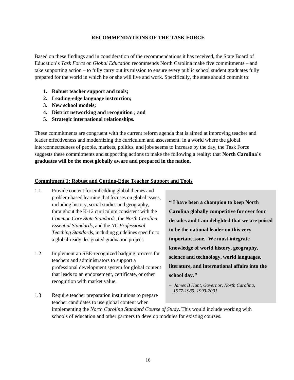#### **RECOMMENDATIONS OF THE TASK FORCE**

Based on these findings and in consideration of the recommendations it has received, the State Board of Education's *Task Force on Global Education* recommends North Carolina make five commitments – and take supporting action – to fully carry out its mission to ensure every public school student graduates fully prepared for the world in which he or she will live and work. Specifically, the state should commit to:

- **1. Robust teacher support and tools;**
- **2. Leading-edge language instruction;**
- **3. New school models;**
- **4. District networking and recognition ; and**
- **5. Strategic international relationships.**

These commitments are congruent with the current reform agenda that is aimed at improving teacher and leader effectiveness and modernizing the curriculum and assessment. In a world where the global interconnectedness of people, markets, politics, and jobs seems to increase by the day, the Task Force suggests these commitments and supporting actions to make the following a reality: that **North Carolina's graduates will be the most globally aware and prepared in the nation**.

#### **Commitment 1: Robust and Cutting-Edge Teacher Support and Tools**

- 1.1 Provide content for embedding global themes and problem-based learning that focuses on global issues, including history, social studies and geography, throughout the K-12 curriculum consistent with the *Common Core State Standards*, the *North Carolina Essential Standards*, and the *NC Professional Teaching Standards*, including guidelines specific to a global-ready designated graduation project.
- 1.2 Implement an SBE-recognized badging process for teachers and administrators to support a professional development system for global content that leads to an endorsement, certificate, or other recognition with market value.

**" I have been a champion to keep North Carolina globally competitive for over four decades and I am delighted that we are poised to be the national leader on this very important issue. We must integrate knowledge of world history, geography, science and technology, world languages, literature, and international affairs into the school day.***"*

1.3 Require teacher preparation institutions to prepare teacher candidates to use global content when implementing the *North Carolina Standard Course of Study*. This would include working with schools of education and other partners to develop modules for existing courses.

*<sup>–</sup> James B Hunt, Governor, North Carolina, 1977-1985, 1993-2001*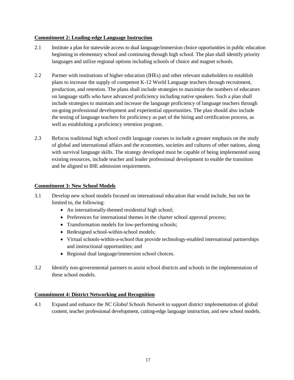#### **Commitment 2: Leading-edge Language Instruction**

- 2.1 Institute a plan for statewide access to dual language/immersion choice opportunities in public education beginning in elementary school and continuing through high school. The plan shall identify priority languages and utilize regional options including schools of choice and magnet schools.
- 2.2 Partner with institutions of higher education (IHEs) and other relevant stakeholders to establish plans to increase the supply of competent K-12 World Language teachers through recruitment, production, and retention. The plans shall include strategies to maximize the numbers of educators on language staffs who have advanced proficiency including native speakers. Such a plan shall include strategies to maintain and increase the language proficiency of language teachers through on-going professional development and experiential opportunities. The plan should also include the testing of language teachers for proficiency as part of the hiring and certification process, as well as establishing a proficiency retention program.
- 2.3 Refocus traditional high school credit language courses to include a greater emphasis on the study of global and international affairs and the economies, societies and cultures of other nations, along with survival language skills. The strategy developed must be capable of being implemented using existing resources, include teacher and leader professional development to enable the transition and be aligned to IHE admission requirements.

#### **Commitment 3: New School Models**

- 3.1 Develop new school models focused on international education that would include, but not be limited to, the following:
	- An internationally-themed residential high school;
	- Preferences for international themes in the charter school approval process;
	- Transformation models for low-performing schools;
	- Redesigned school-within-school models;
	- Virtual schools-within-a-school that provide technology-enabled international partnerships and instructional opportunities; and
	- Regional dual language/immersion school choices.
- 3.2 Identify non-governmental partners to assist school districts and schools in the implementation of these school models.

#### **Commitment 4: District Networking and Recognition**

4.1 Expand and enhance the *NC Global Schools Network* to support district implementation of global content, teacher professional development, cutting-edge language instruction, and new school models.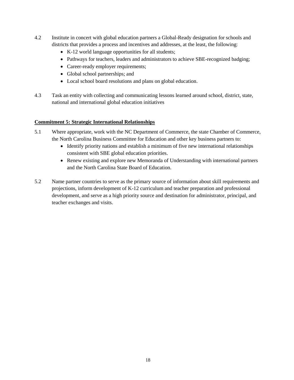- 4.2 Institute in concert with global education partners a Global-Ready designation for schools and districts that provides a process and incentives and addresses, at the least, the following:
	- K-12 world language opportunities for all students;
	- Pathways for teachers, leaders and administrators to achieve SBE-recognized badging;
	- Career-ready employer requirements;
	- Global school partnerships; and
	- Local school board resolutions and plans on global education.
- 4.3 Task an entity with collecting and communicating lessons learned around school, district, state, national and international global education initiatives

#### **Commitment 5: Strategic International Relationships**

- 5.1 Where appropriate, work with the NC Department of Commerce, the state Chamber of Commerce, the North Carolina Business Committee for Education and other key business partners to:
	- Identify priority nations and establish a minimum of five new international relationships consistent with SBE global education priorities.
	- Renew existing and explore new Memoranda of Understanding with international partners and the North Carolina State Board of Education.
- 5.2 Name partner countries to serve as the primary source of information about skill requirements and projections, inform development of K-12 curriculum and teacher preparation and professional development, and serve as a high priority source and destination for administrator, principal, and teacher exchanges and visits.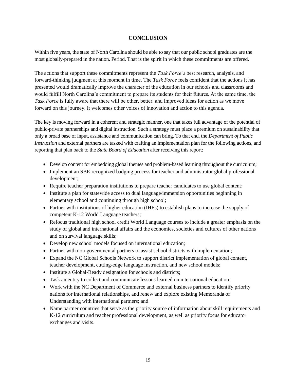# **CONCLUSION**

Within five years, the state of North Carolina should be able to say that our public school graduates are the most globally-prepared in the nation. Period. That is the spirit in which these commitments are offered.

The actions that support these commitments represent the *Task Force's* best research, analysis, and forward-thinking judgment at this moment in time. The *Task Force* feels confident that the actions it has presented would dramatically improve the character of the education in our schools and classrooms and would fulfill North Carolina's commitment to prepare its students for their futures. At the same time, the *Task Force* is fully aware that there will be other, better, and improved ideas for action as we move forward on this journey. It welcomes other voices of innovation and action to this agenda.

The key is moving forward in a coherent and strategic manner, one that takes full advantage of the potential of public-private partnerships and digital instruction. Such a strategy must place a premium on sustainability that only a broad base of input, assistance and communication can bring. To that end, the *Department of Public Instruction* and external partners are tasked with crafting an implementation plan for the following actions, and reporting that plan back to the *State Board of Education* after receiving this report:

- Develop content for embedding global themes and problem-based learning throughout the curriculum;
- Implement an SBE-recognized badging process for teacher and administrator global professional development;
- Require teacher preparation institutions to prepare teacher candidates to use global content;
- Institute a plan for statewide access to dual language/immersion opportunities beginning in elementary school and continuing through high school;
- Partner with institutions of higher education (IHEs) to establish plans to increase the supply of competent K-12 World Language teachers;
- Refocus traditional high school credit World Language courses to include a greater emphasis on the study of global and international affairs and the economies, societies and cultures of other nations and on survival language skills;
- Develop new school models focused on international education;
- Partner with non-governmental partners to assist school districts with implementation;
- Expand the NC Global Schools Network to support district implementation of global content, teacher development, cutting-edge language instruction, and new school models;
- Institute a Global-Ready designation for schools and districts;
- Task an entity to collect and communicate lessons learned on international education;
- Work with the NC Department of Commerce and external business partners to identify priority nations for international relationships, and renew and explore existing Memoranda of Understanding with international partners; and
- Name partner countries that serve as the priority source of information about skill requirements and K-12 curriculum and teacher professional development, as well as priority focus for educator exchanges and visits.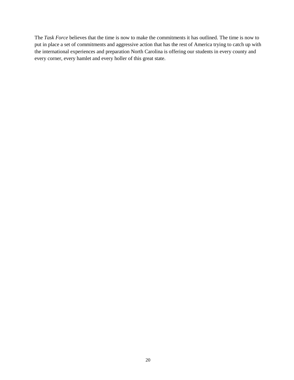The *Task Force* believes that the time is now to make the commitments it has outlined. The time is now to put in place a set of commitments and aggressive action that has the rest of America trying to catch up with the international experiences and preparation North Carolina is offering our students in every county and every corner, every hamlet and every holler of this great state.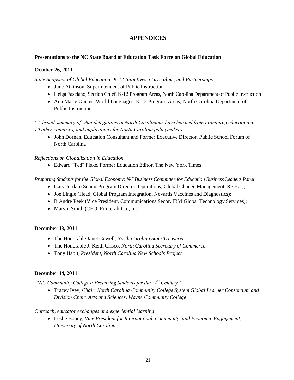# **APPENDICES**

#### **Presentations to the NC State Board of Education Task Force on Global Education**

#### **October 26, 2011**

*State Snapshot of Global Education: K-12 Initiatives, Curriculum, and Partnerships*

- June Atkinson, Superintendent of Public Instruction
- Helga Fasciano, Section Chief, K-12 Program Areas, North Carolina Department of Public Instruction
- Ann Marie Gunter, World Languages, K-12 Program Areas, North Carolina Department of Public Instruction

*"A broad summary of what delegations of North Carolinians have learned from examining education in 10 other countries and implications for North Carolina policymakers."*

• John Dornan, Education Consultant and Former Executive Director, Public School Forum of North Carolina

#### *Reflections on Globalization in Education*

Edward "Ted" Fiske, Former Education Editor, The New York Times

#### *Preparing Students for the Global Economy: NC Business Committee for Education Business Leaders Panel*

- Gary Jordan (Senior Program Director, Operations, Global Change Management, Re Hat);
- Joe Lingle (Head, Global Program Integration, Novartis Vaccines and Diagnostics);
- R Andre Peek (Vice President, Communications Secor, IBM Global Technology Services);
- Marvin Smith (CEO, Printcraft Co., Inc)

#### **December 13, 2011**

- The Honorable Janet Cowell, *North Carolina State Treasurer*
- The Honorable J. Keith Crisco, *North Carolina Secretary of Commerce*
- Tony Habit, *President, North Carolina New Schools Project*

#### **December 14, 2011**

*"NC Community Colleges: Preparing Students for the 21st Century"*

 Tracey Ivey*, Chair, North Carolina Community College System Global Learner Consortium and Division Chair, Arts and Sciences, Wayne Community College*

#### *Outreach, educator exchanges and experiential learning*

 Leslie Boney, *Vice President for International, Community, and Economic Engagement, University of North Carolina*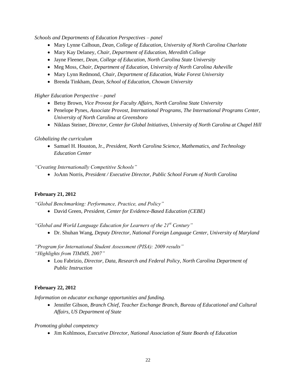*Schools and Departments of Education Perspectives – panel*

- Mary Lynne Calhoun*, Dean, College of Education, University of North Carolina Charlotte*
- Mary Kay Delaney*, Chair, Department of Education, Meredith College*
- Jayne Fleener*, Dean, College of Education, North Carolina State University*
- Meg Moss*, Chair, Department of Education, University of North Carolina Asheville*
- Mary Lynn Redmond*, Chair, Department of Education, Wake Forest University*
- Brenda Tinkham*, Dean, School of Education, Chowan University*

*Higher Education Perspective – panel*

- Betsy Brown*, Vice Provost for Faculty Affairs, North Carolina State University*
- Penelope Pynes*, Associate Provost, International Programs, The International Programs Center, University of North Carolina at Greensboro*
- Niklaus Steiner*, Director, Center for Global Initiatives, University of North Carolina at Chapel Hill*

#### *Globalizing the curriculum*

 Samuel H. Houston, Jr., *President, North Carolina Science, Mathematics, and Technology Education Center* 

*"Creating Internationally Competitive Schools"*

JoAnn Norris, *President / Executive Director, Public School Forum of North Carolina*

#### **February 21, 2012**

"Global Benchmarking: Performance, Practice, and Policy"

David Green, *President, Center for Evidence-Based Education (CEBE)*

*"Global and World Language Education for Learners of the 21st Century"*

Dr. Shuhan Wang, *Deputy Director, National Foreign Language Center, University of Maryland*

*"Program for International Student Assessment (PISA): 2009 results" " ighlights from TIMMS 2007"*

 Lou Fabrizio, *Director, Data, Research and Federal Policy, North Carolina Department of Public Instruction*

#### **February 22, 2012**

*Information on educator exchange opportunities and funding.*

 Jennifer Gibson, *Branch Chief, Teacher Exchange Branch, Bureau of Educational and Cultural Affairs, US Department of State*

*Promoting global competency*

Jim Kohlmoos, *Executive Director, National Association of State Boards of Education*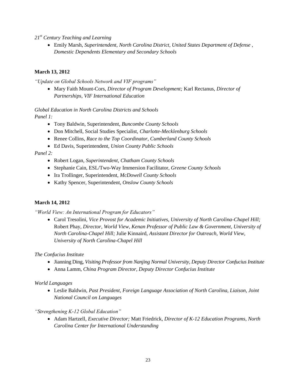*21st Century Teaching and Learning*

 Emily Marsh, *Superintendent, North Carolina District, United States Department of Defense , Domestic Dependents Elementary and Secondary Schools*

# **March 13, 2012**

*"Update on Global Schools Network and VIF programs"*

 Mary Faith Mount-Cors, *Director of Program Development;* Karl Rectanus, *Director of Partnerships, VIF International Education* 

*Global Education in North Carolina Districts and Schools Panel 1:*

- Tony Baldwin*,* Superintendent, *Buncombe County Schools*
- Don Mitchell, Social Studies Specialist, *Charlotte-Mecklenburg Schools*
- Renee Collins, *Race to the Top Coordinator, Cumberland County Schools*
- Ed Davis, Superintendent, *Union County Public Schools*

*Panel 2:*

- Robert Logan, *Superintendent*, *Chatham County Schools*
- Stephanie Cain, ESL/Two-Way Immersion Facilitator, *Greene County Schools*
- Ira Trollinger, Superintendent, *McDowell County Schools*
- Kathy Spencer*,* Superintendent, *Onslow County Schools*

#### **March 14, 2012**

*"World View: An International Program for Educators"*

 Carol Tresolini, *Vice Provost for Academic Initiatives, University of North Carolina-Chapel Hill;*  Robert Phay, *Director, World View, Kenan Professor of Public Law & Government, University of North Carolina-Chapel Hill;* Julie Kinnaird, *Assistant Director for Outreach, World View, University of North Carolina-Chapel Hill*

*The Confucius Institute*

- Jianning Ding, *Visiting Professor from Nanjing Normal University, Deputy Director Confucius Institute*
- Anna Lamm, *China Program Director, Deputy Director Confucius Institute*

#### *World Languages*

 Leslie Baldwin, *Past President, Foreign Language Association of North Carolina*, *Liaison, Joint National Council on Languages*

*"Strengthening K-12 Global Education"*

 Adam Hartzell, *Executive Director;* Matt Friedrick, *Director of K-12 Education Programs, North Carolina Center for International Understanding*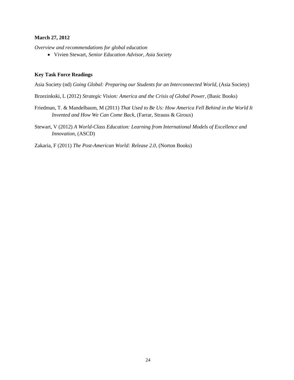#### **March 27, 2012**

*Overview and recommendations for global education*

Vivien Stewart, *Senior Education Advisor, Asia Society*

#### **Key Task Force Readings**

Asia Society (nd) *Going Global: Preparing our Students for an Interconnected World*, (Asia Society)

Brzezinkski, L (2012) *Strategic Vision: America and the Crisis of Global Power*, (Basic Books)

- Friedman, T. & Mandelbaum, M (2011) *That Used to Be Us: How America Fell Behind in the World It Invented and How We Can Come Back*, (Farrar, Strauss & Giroux)
- Stewart, V (2012) *A World-Class Education: Learning from International Models of Excellence and Innovation*, (ASCD)

Zakaria, F (2011) *The Post-American World: Release 2.0*, (Norton Books)